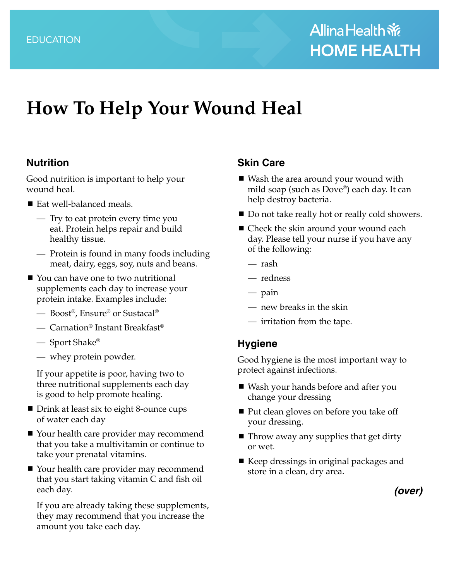# **How To Help Your Wound Heal**

#### **Nutrition**

Good nutrition is important to help your wound heal.

- Eat well-balanced meals.
	- Try to eat protein every time you eat. Protein helps repair and build healthy tissue.
	- Protein is found in many foods including meat, dairy, eggs, soy, nuts and beans.
- You can have one to two nutritional supplements each day to increase your protein intake. Examples include:
	- Boost®, Ensure® or Sustacal®
	- Carnation® Instant Breakfast®
	- Sport Shake®
	- whey protein powder.

If your appetite is poor, having two to three nutritional supplements each day is good to help promote healing.

- Drink at least six to eight 8-ounce cups of water each day
- Your health care provider may recommend that you take a multivitamin or continue to take your prenatal vitamins.
- Your health care provider may recommend that you start taking vitamin C and fish oil each day.

If you are already taking these supplements, they may recommend that you increase the amount you take each day.

#### **Skin Care**

- Wash the area around your wound with mild soap (such as Dove®) each day. It can help destroy bacteria.
- Do not take really hot or really cold showers.
- Check the skin around your wound each day. Please tell your nurse if you have any of the following:
	- rash
	- redness
	- pain
	- new breaks in the skin
	- irritation from the tape.

#### **Hygiene**

Good hygiene is the most important way to protect against infections.

- Wash your hands before and after you change your dressing
- Put clean gloves on before you take off your dressing.
- Throw away any supplies that get dirty or wet.
- Keep dressings in original packages and store in a clean, dry area.

*(over)*